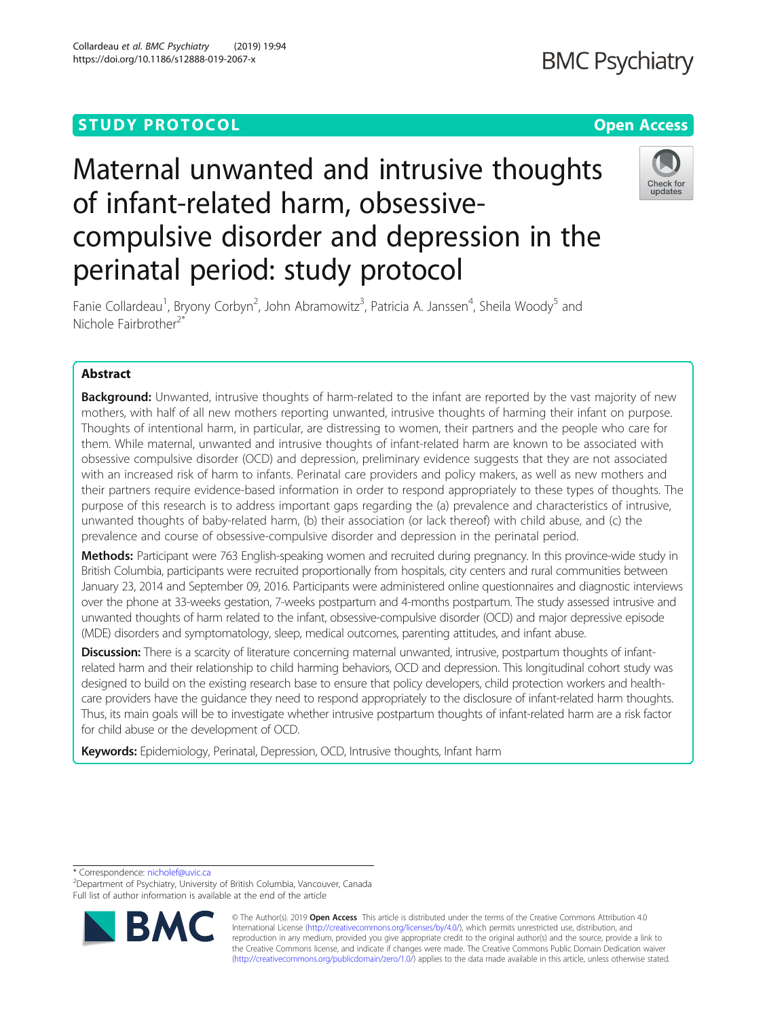## **STUDY PROTOCOL CONSUMING THE RESERVE ACCESS**

# Maternal unwanted and intrusive thoughts of infant-related harm, obsessivecompulsive disorder and depression in the perinatal period: study protocol



Fanie Collardeau<sup>1</sup>, Bryony Corbyn<sup>2</sup>, John Abramowitz<sup>3</sup>, Patricia A. Janssen<sup>4</sup>, Sheila Woody<sup>5</sup> and Nichole Fairbrother<sup>2\*</sup>

### Abstract

**Background:** Unwanted, intrusive thoughts of harm-related to the infant are reported by the vast majority of new mothers, with half of all new mothers reporting unwanted, intrusive thoughts of harming their infant on purpose. Thoughts of intentional harm, in particular, are distressing to women, their partners and the people who care for them. While maternal, unwanted and intrusive thoughts of infant-related harm are known to be associated with obsessive compulsive disorder (OCD) and depression, preliminary evidence suggests that they are not associated with an increased risk of harm to infants. Perinatal care providers and policy makers, as well as new mothers and their partners require evidence-based information in order to respond appropriately to these types of thoughts. The purpose of this research is to address important gaps regarding the (a) prevalence and characteristics of intrusive, unwanted thoughts of baby-related harm, (b) their association (or lack thereof) with child abuse, and (c) the prevalence and course of obsessive-compulsive disorder and depression in the perinatal period.

Methods: Participant were 763 English-speaking women and recruited during pregnancy. In this province-wide study in British Columbia, participants were recruited proportionally from hospitals, city centers and rural communities between January 23, 2014 and September 09, 2016. Participants were administered online questionnaires and diagnostic interviews over the phone at 33-weeks gestation, 7-weeks postpartum and 4-months postpartum. The study assessed intrusive and unwanted thoughts of harm related to the infant, obsessive-compulsive disorder (OCD) and major depressive episode (MDE) disorders and symptomatology, sleep, medical outcomes, parenting attitudes, and infant abuse.

Discussion: There is a scarcity of literature concerning maternal unwanted, intrusive, postpartum thoughts of infantrelated harm and their relationship to child harming behaviors, OCD and depression. This longitudinal cohort study was designed to build on the existing research base to ensure that policy developers, child protection workers and healthcare providers have the guidance they need to respond appropriately to the disclosure of infant-related harm thoughts. Thus, its main goals will be to investigate whether intrusive postpartum thoughts of infant-related harm are a risk factor for child abuse or the development of OCD.

Keywords: Epidemiology, Perinatal, Depression, OCD, Intrusive thoughts, Infant harm

\* Correspondence: [nicholef@uvic.ca](mailto:nicholef@uvic.ca) <sup>2</sup>

<sup>2</sup>Department of Psychiatry, University of British Columbia, Vancouver, Canada Full list of author information is available at the end of the article



© The Author(s). 2019 **Open Access** This article is distributed under the terms of the Creative Commons Attribution 4.0 International License [\(http://creativecommons.org/licenses/by/4.0/](http://creativecommons.org/licenses/by/4.0/)), which permits unrestricted use, distribution, and reproduction in any medium, provided you give appropriate credit to the original author(s) and the source, provide a link to the Creative Commons license, and indicate if changes were made. The Creative Commons Public Domain Dedication waiver [\(http://creativecommons.org/publicdomain/zero/1.0/](http://creativecommons.org/publicdomain/zero/1.0/)) applies to the data made available in this article, unless otherwise stated.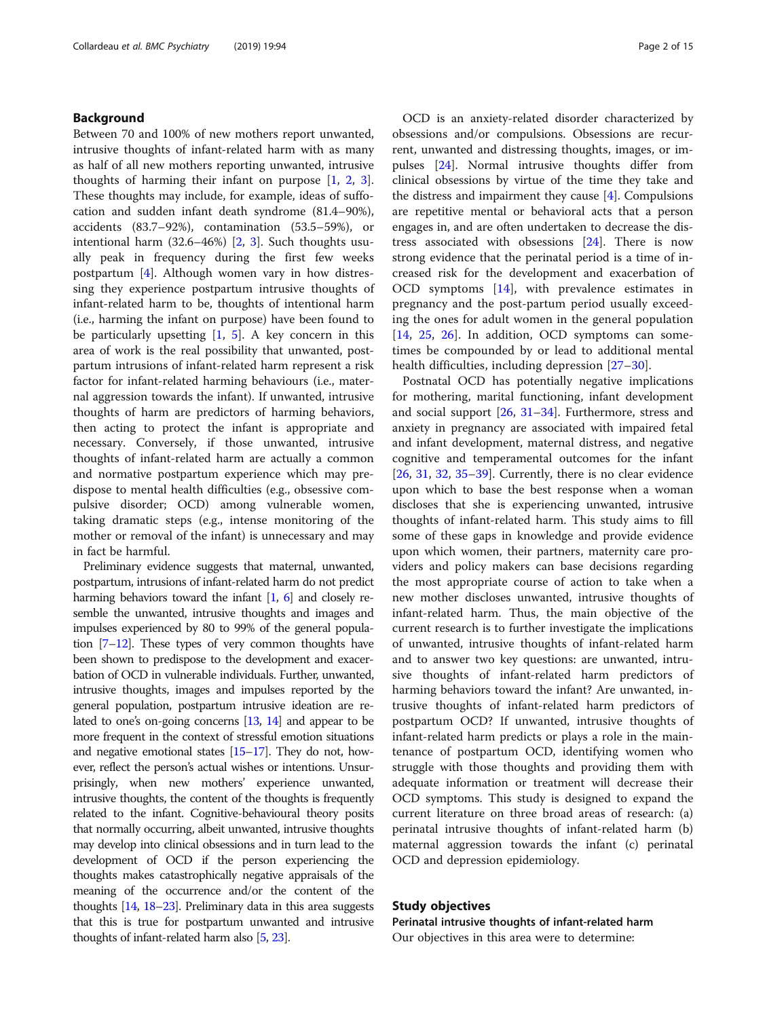#### Background

Between 70 and 100% of new mothers report unwanted, intrusive thoughts of infant-related harm with as many as half of all new mothers reporting unwanted, intrusive thoughts of harming their infant on purpose [[1,](#page-12-0) [2,](#page-12-0) [3](#page-12-0)]. These thoughts may include, for example, ideas of suffocation and sudden infant death syndrome (81.4–90%), accidents (83.7–92%), contamination (53.5–59%), or intentional harm (32.6–46%) [\[2](#page-12-0), [3](#page-12-0)]. Such thoughts usually peak in frequency during the first few weeks postpartum [[4\]](#page-12-0). Although women vary in how distressing they experience postpartum intrusive thoughts of infant-related harm to be, thoughts of intentional harm (i.e., harming the infant on purpose) have been found to be particularly upsetting  $[1, 5]$  $[1, 5]$  $[1, 5]$  $[1, 5]$ . A key concern in this area of work is the real possibility that unwanted, postpartum intrusions of infant-related harm represent a risk factor for infant-related harming behaviours (i.e., maternal aggression towards the infant). If unwanted, intrusive thoughts of harm are predictors of harming behaviors, then acting to protect the infant is appropriate and necessary. Conversely, if those unwanted, intrusive thoughts of infant-related harm are actually a common and normative postpartum experience which may predispose to mental health difficulties (e.g., obsessive compulsive disorder; OCD) among vulnerable women, taking dramatic steps (e.g., intense monitoring of the mother or removal of the infant) is unnecessary and may in fact be harmful.

Preliminary evidence suggests that maternal, unwanted, postpartum, intrusions of infant-related harm do not predict harming behaviors toward the infant [\[1,](#page-12-0) [6\]](#page-12-0) and closely resemble the unwanted, intrusive thoughts and images and impulses experienced by 80 to 99% of the general population [[7](#page-12-0)–[12](#page-12-0)]. These types of very common thoughts have been shown to predispose to the development and exacerbation of OCD in vulnerable individuals. Further, unwanted, intrusive thoughts, images and impulses reported by the general population, postpartum intrusive ideation are related to one's on-going concerns [\[13](#page-12-0), [14](#page-13-0)] and appear to be more frequent in the context of stressful emotion situations and negative emotional states [\[15](#page-13-0)–[17\]](#page-13-0). They do not, however, reflect the person's actual wishes or intentions. Unsurprisingly, when new mothers' experience unwanted, intrusive thoughts, the content of the thoughts is frequently related to the infant. Cognitive-behavioural theory posits that normally occurring, albeit unwanted, intrusive thoughts may develop into clinical obsessions and in turn lead to the development of OCD if the person experiencing the thoughts makes catastrophically negative appraisals of the meaning of the occurrence and/or the content of the thoughts [\[14](#page-13-0), [18](#page-13-0)–[23\]](#page-13-0). Preliminary data in this area suggests that this is true for postpartum unwanted and intrusive thoughts of infant-related harm also [\[5,](#page-12-0) [23\]](#page-13-0).

OCD is an anxiety-related disorder characterized by obsessions and/or compulsions. Obsessions are recurrent, unwanted and distressing thoughts, images, or impulses [[24](#page-13-0)]. Normal intrusive thoughts differ from clinical obsessions by virtue of the time they take and the distress and impairment they cause  $[4]$  $[4]$ . Compulsions are repetitive mental or behavioral acts that a person engages in, and are often undertaken to decrease the distress associated with obsessions [\[24](#page-13-0)]. There is now strong evidence that the perinatal period is a time of increased risk for the development and exacerbation of OCD symptoms [\[14](#page-13-0)], with prevalence estimates in pregnancy and the post-partum period usually exceeding the ones for adult women in the general population [[14,](#page-13-0) [25](#page-13-0), [26\]](#page-13-0). In addition, OCD symptoms can sometimes be compounded by or lead to additional mental health difficulties, including depression [[27](#page-13-0)–[30\]](#page-13-0).

Postnatal OCD has potentially negative implications for mothering, marital functioning, infant development and social support  $[26, 31-34]$  $[26, 31-34]$  $[26, 31-34]$  $[26, 31-34]$  $[26, 31-34]$  $[26, 31-34]$  $[26, 31-34]$ . Furthermore, stress and anxiety in pregnancy are associated with impaired fetal and infant development, maternal distress, and negative cognitive and temperamental outcomes for the infant  $[26, 31, 32, 35-39]$  $[26, 31, 32, 35-39]$  $[26, 31, 32, 35-39]$  $[26, 31, 32, 35-39]$  $[26, 31, 32, 35-39]$  $[26, 31, 32, 35-39]$  $[26, 31, 32, 35-39]$  $[26, 31, 32, 35-39]$  $[26, 31, 32, 35-39]$  $[26, 31, 32, 35-39]$  $[26, 31, 32, 35-39]$ . Currently, there is no clear evidence upon which to base the best response when a woman discloses that she is experiencing unwanted, intrusive thoughts of infant-related harm. This study aims to fill some of these gaps in knowledge and provide evidence upon which women, their partners, maternity care providers and policy makers can base decisions regarding the most appropriate course of action to take when a new mother discloses unwanted, intrusive thoughts of infant-related harm. Thus, the main objective of the current research is to further investigate the implications of unwanted, intrusive thoughts of infant-related harm and to answer two key questions: are unwanted, intrusive thoughts of infant-related harm predictors of harming behaviors toward the infant? Are unwanted, intrusive thoughts of infant-related harm predictors of postpartum OCD? If unwanted, intrusive thoughts of infant-related harm predicts or plays a role in the maintenance of postpartum OCD, identifying women who struggle with those thoughts and providing them with adequate information or treatment will decrease their OCD symptoms. This study is designed to expand the current literature on three broad areas of research: (a) perinatal intrusive thoughts of infant-related harm (b) maternal aggression towards the infant (c) perinatal OCD and depression epidemiology.

#### Study objectives

Perinatal intrusive thoughts of infant-related harm Our objectives in this area were to determine: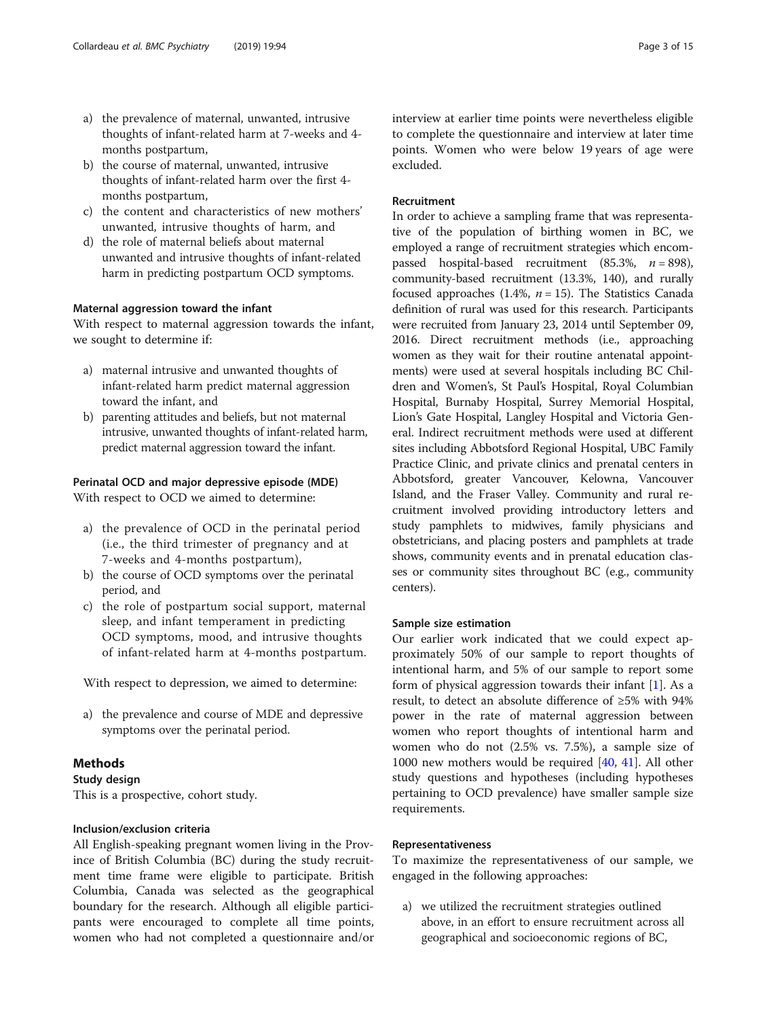- a) the prevalence of maternal, unwanted, intrusive thoughts of infant-related harm at 7-weeks and 4 months postpartum,
- b) the course of maternal, unwanted, intrusive thoughts of infant-related harm over the first 4 months postpartum,
- c) the content and characteristics of new mothers' unwanted, intrusive thoughts of harm, and
- d) the role of maternal beliefs about maternal unwanted and intrusive thoughts of infant-related harm in predicting postpartum OCD symptoms.

#### Maternal aggression toward the infant

With respect to maternal aggression towards the infant, we sought to determine if:

- a) maternal intrusive and unwanted thoughts of infant-related harm predict maternal aggression toward the infant, and
- b) parenting attitudes and beliefs, but not maternal intrusive, unwanted thoughts of infant-related harm, predict maternal aggression toward the infant.

#### Perinatal OCD and major depressive episode (MDE)

With respect to OCD we aimed to determine:

- a) the prevalence of OCD in the perinatal period (i.e., the third trimester of pregnancy and at 7-weeks and 4-months postpartum),
- b) the course of OCD symptoms over the perinatal period, and
- c) the role of postpartum social support, maternal sleep, and infant temperament in predicting OCD symptoms, mood, and intrusive thoughts of infant-related harm at 4-months postpartum.

With respect to depression, we aimed to determine:

a) the prevalence and course of MDE and depressive symptoms over the perinatal period.

#### Methods

Study design This is a prospective, cohort study.

#### Inclusion/exclusion criteria

All English-speaking pregnant women living in the Province of British Columbia (BC) during the study recruitment time frame were eligible to participate. British Columbia, Canada was selected as the geographical boundary for the research. Although all eligible participants were encouraged to complete all time points, women who had not completed a questionnaire and/or interview at earlier time points were nevertheless eligible to complete the questionnaire and interview at later time points. Women who were below 19 years of age were excluded.

#### Recruitment

In order to achieve a sampling frame that was representative of the population of birthing women in BC, we employed a range of recruitment strategies which encompassed hospital-based recruitment (85.3%,  $n = 898$ ), community-based recruitment (13.3%, 140), and rurally focused approaches (1.4%,  $n = 15$ ). The Statistics Canada definition of rural was used for this research. Participants were recruited from January 23, 2014 until September 09, 2016. Direct recruitment methods (i.e., approaching women as they wait for their routine antenatal appointments) were used at several hospitals including BC Children and Women's, St Paul's Hospital, Royal Columbian Hospital, Burnaby Hospital, Surrey Memorial Hospital, Lion's Gate Hospital, Langley Hospital and Victoria General. Indirect recruitment methods were used at different sites including Abbotsford Regional Hospital, UBC Family Practice Clinic, and private clinics and prenatal centers in Abbotsford, greater Vancouver, Kelowna, Vancouver Island, and the Fraser Valley. Community and rural recruitment involved providing introductory letters and study pamphlets to midwives, family physicians and obstetricians, and placing posters and pamphlets at trade shows, community events and in prenatal education classes or community sites throughout BC (e.g., community centers).

#### Sample size estimation

Our earlier work indicated that we could expect approximately 50% of our sample to report thoughts of intentional harm, and 5% of our sample to report some form of physical aggression towards their infant [\[1\]](#page-12-0). As a result, to detect an absolute difference of ≥5% with 94% power in the rate of maternal aggression between women who report thoughts of intentional harm and women who do not (2.5% vs. 7.5%), a sample size of 1000 new mothers would be required [\[40](#page-13-0), [41\]](#page-13-0). All other study questions and hypotheses (including hypotheses pertaining to OCD prevalence) have smaller sample size requirements.

#### Representativeness

To maximize the representativeness of our sample, we engaged in the following approaches:

a) we utilized the recruitment strategies outlined above, in an effort to ensure recruitment across all geographical and socioeconomic regions of BC,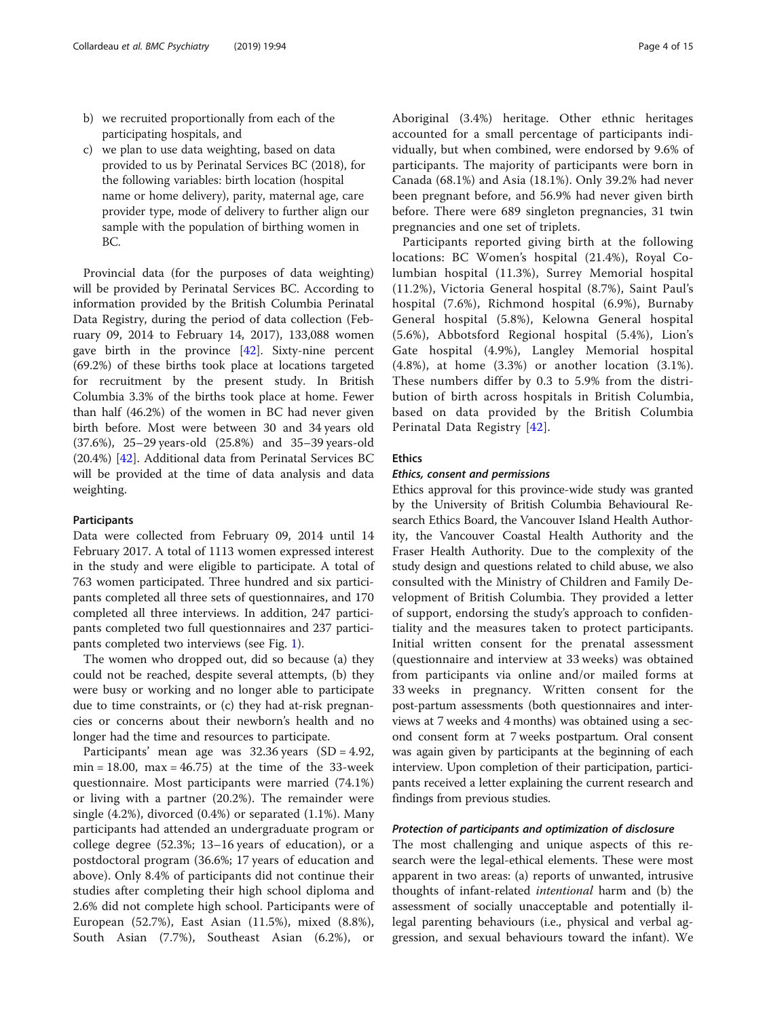- b) we recruited proportionally from each of the participating hospitals, and
- c) we plan to use data weighting, based on data provided to us by Perinatal Services BC (2018), for the following variables: birth location (hospital name or home delivery), parity, maternal age, care provider type, mode of delivery to further align our sample with the population of birthing women in BC.

Provincial data (for the purposes of data weighting) will be provided by Perinatal Services BC. According to information provided by the British Columbia Perinatal Data Registry, during the period of data collection (February 09, 2014 to February 14, 2017), 133,088 women gave birth in the province [\[42](#page-13-0)]. Sixty-nine percent (69.2%) of these births took place at locations targeted for recruitment by the present study. In British Columbia 3.3% of the births took place at home. Fewer than half (46.2%) of the women in BC had never given birth before. Most were between 30 and 34 years old (37.6%), 25–29 years-old (25.8%) and 35–39 years-old (20.4%) [\[42](#page-13-0)]. Additional data from Perinatal Services BC will be provided at the time of data analysis and data weighting.

#### Participants

Data were collected from February 09, 2014 until 14 February 2017. A total of 1113 women expressed interest in the study and were eligible to participate. A total of 763 women participated. Three hundred and six participants completed all three sets of questionnaires, and 170 completed all three interviews. In addition, 247 participants completed two full questionnaires and 237 participants completed two interviews (see Fig. [1\)](#page-4-0).

The women who dropped out, did so because (a) they could not be reached, despite several attempts, (b) they were busy or working and no longer able to participate due to time constraints, or (c) they had at-risk pregnancies or concerns about their newborn's health and no longer had the time and resources to participate.

Participants' mean age was 32.36 years (SD = 4.92, min = 18.00, max =  $46.75$ ) at the time of the 33-week questionnaire. Most participants were married (74.1%) or living with a partner (20.2%). The remainder were single (4.2%), divorced (0.4%) or separated (1.1%). Many participants had attended an undergraduate program or college degree (52.3%; 13–16 years of education), or a postdoctoral program (36.6%; 17 years of education and above). Only 8.4% of participants did not continue their studies after completing their high school diploma and 2.6% did not complete high school. Participants were of European (52.7%), East Asian (11.5%), mixed (8.8%), South Asian (7.7%), Southeast Asian (6.2%), or Aboriginal (3.4%) heritage. Other ethnic heritages accounted for a small percentage of participants individually, but when combined, were endorsed by 9.6% of participants. The majority of participants were born in Canada (68.1%) and Asia (18.1%). Only 39.2% had never been pregnant before, and 56.9% had never given birth before. There were 689 singleton pregnancies, 31 twin pregnancies and one set of triplets.

Participants reported giving birth at the following locations: BC Women's hospital (21.4%), Royal Columbian hospital (11.3%), Surrey Memorial hospital (11.2%), Victoria General hospital (8.7%), Saint Paul's hospital (7.6%), Richmond hospital (6.9%), Burnaby General hospital (5.8%), Kelowna General hospital (5.6%), Abbotsford Regional hospital (5.4%), Lion's Gate hospital (4.9%), Langley Memorial hospital (4.8%), at home (3.3%) or another location (3.1%). These numbers differ by 0.3 to 5.9% from the distribution of birth across hospitals in British Columbia, based on data provided by the British Columbia Perinatal Data Registry [[42\]](#page-13-0).

#### Ethics

#### Ethics, consent and permissions

Ethics approval for this province-wide study was granted by the University of British Columbia Behavioural Research Ethics Board, the Vancouver Island Health Authority, the Vancouver Coastal Health Authority and the Fraser Health Authority. Due to the complexity of the study design and questions related to child abuse, we also consulted with the Ministry of Children and Family Development of British Columbia. They provided a letter of support, endorsing the study's approach to confidentiality and the measures taken to protect participants. Initial written consent for the prenatal assessment (questionnaire and interview at 33 weeks) was obtained from participants via online and/or mailed forms at 33 weeks in pregnancy. Written consent for the post-partum assessments (both questionnaires and interviews at 7 weeks and 4 months) was obtained using a second consent form at 7 weeks postpartum. Oral consent was again given by participants at the beginning of each interview. Upon completion of their participation, participants received a letter explaining the current research and findings from previous studies.

#### Protection of participants and optimization of disclosure

The most challenging and unique aspects of this research were the legal-ethical elements. These were most apparent in two areas: (a) reports of unwanted, intrusive thoughts of infant-related intentional harm and (b) the assessment of socially unacceptable and potentially illegal parenting behaviours (i.e., physical and verbal aggression, and sexual behaviours toward the infant). We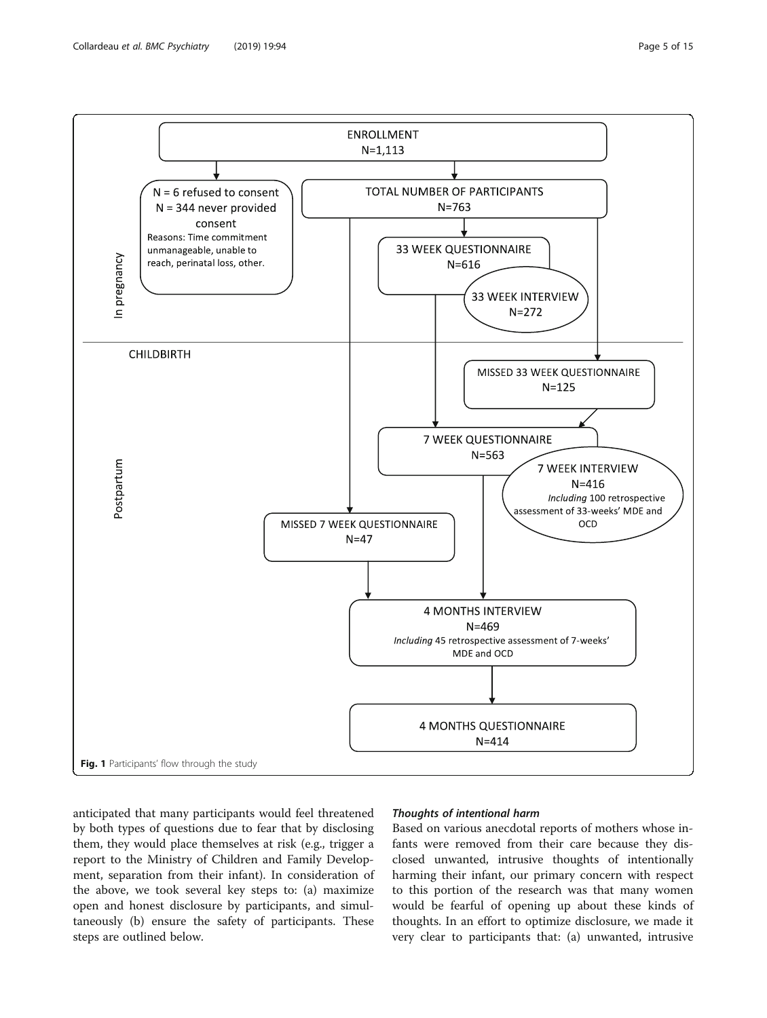<span id="page-4-0"></span>

anticipated that many participants would feel threatened by both types of questions due to fear that by disclosing them, they would place themselves at risk (e.g., trigger a report to the Ministry of Children and Family Development, separation from their infant). In consideration of the above, we took several key steps to: (a) maximize open and honest disclosure by participants, and simultaneously (b) ensure the safety of participants. These steps are outlined below.

#### Thoughts of intentional harm

Based on various anecdotal reports of mothers whose infants were removed from their care because they disclosed unwanted, intrusive thoughts of intentionally harming their infant, our primary concern with respect to this portion of the research was that many women would be fearful of opening up about these kinds of thoughts. In an effort to optimize disclosure, we made it very clear to participants that: (a) unwanted, intrusive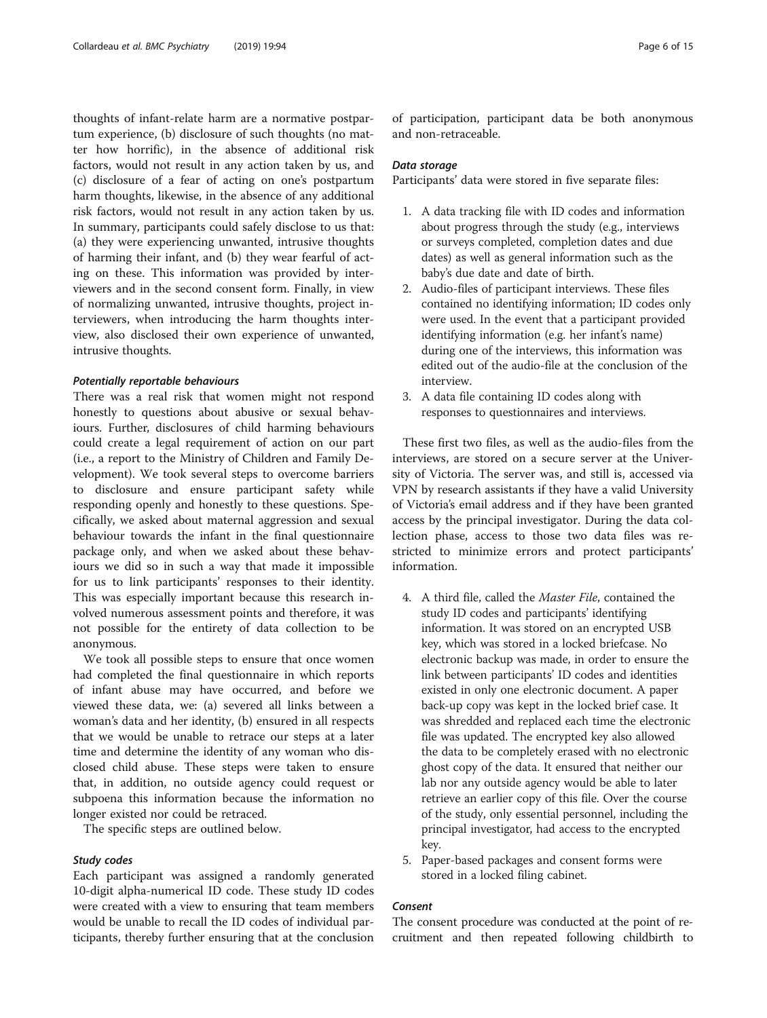thoughts of infant-relate harm are a normative postpartum experience, (b) disclosure of such thoughts (no matter how horrific), in the absence of additional risk factors, would not result in any action taken by us, and (c) disclosure of a fear of acting on one's postpartum harm thoughts, likewise, in the absence of any additional risk factors, would not result in any action taken by us. In summary, participants could safely disclose to us that: (a) they were experiencing unwanted, intrusive thoughts of harming their infant, and (b) they wear fearful of acting on these. This information was provided by interviewers and in the second consent form. Finally, in view of normalizing unwanted, intrusive thoughts, project interviewers, when introducing the harm thoughts interview, also disclosed their own experience of unwanted, intrusive thoughts.

#### Potentially reportable behaviours

There was a real risk that women might not respond honestly to questions about abusive or sexual behaviours. Further, disclosures of child harming behaviours could create a legal requirement of action on our part (i.e., a report to the Ministry of Children and Family Development). We took several steps to overcome barriers to disclosure and ensure participant safety while responding openly and honestly to these questions. Specifically, we asked about maternal aggression and sexual behaviour towards the infant in the final questionnaire package only, and when we asked about these behaviours we did so in such a way that made it impossible for us to link participants' responses to their identity. This was especially important because this research involved numerous assessment points and therefore, it was not possible for the entirety of data collection to be anonymous.

We took all possible steps to ensure that once women had completed the final questionnaire in which reports of infant abuse may have occurred, and before we viewed these data, we: (a) severed all links between a woman's data and her identity, (b) ensured in all respects that we would be unable to retrace our steps at a later time and determine the identity of any woman who disclosed child abuse. These steps were taken to ensure that, in addition, no outside agency could request or subpoena this information because the information no longer existed nor could be retraced.

The specific steps are outlined below.

#### Study codes

Each participant was assigned a randomly generated 10-digit alpha-numerical ID code. These study ID codes were created with a view to ensuring that team members would be unable to recall the ID codes of individual participants, thereby further ensuring that at the conclusion

of participation, participant data be both anonymous and non-retraceable.

#### Data storage

Participants' data were stored in five separate files:

- 1. A data tracking file with ID codes and information about progress through the study (e.g., interviews or surveys completed, completion dates and due dates) as well as general information such as the baby's due date and date of birth.
- 2. Audio-files of participant interviews. These files contained no identifying information; ID codes only were used. In the event that a participant provided identifying information (e.g. her infant's name) during one of the interviews, this information was edited out of the audio-file at the conclusion of the interview.
- 3. A data file containing ID codes along with responses to questionnaires and interviews.

These first two files, as well as the audio-files from the interviews, are stored on a secure server at the University of Victoria. The server was, and still is, accessed via VPN by research assistants if they have a valid University of Victoria's email address and if they have been granted access by the principal investigator. During the data collection phase, access to those two data files was restricted to minimize errors and protect participants' information.

- 4. A third file, called the Master File, contained the study ID codes and participants' identifying information. It was stored on an encrypted USB key, which was stored in a locked briefcase. No electronic backup was made, in order to ensure the link between participants' ID codes and identities existed in only one electronic document. A paper back-up copy was kept in the locked brief case. It was shredded and replaced each time the electronic file was updated. The encrypted key also allowed the data to be completely erased with no electronic ghost copy of the data. It ensured that neither our lab nor any outside agency would be able to later retrieve an earlier copy of this file. Over the course of the study, only essential personnel, including the principal investigator, had access to the encrypted key.
- 5. Paper-based packages and consent forms were stored in a locked filing cabinet.

#### Consent

The consent procedure was conducted at the point of recruitment and then repeated following childbirth to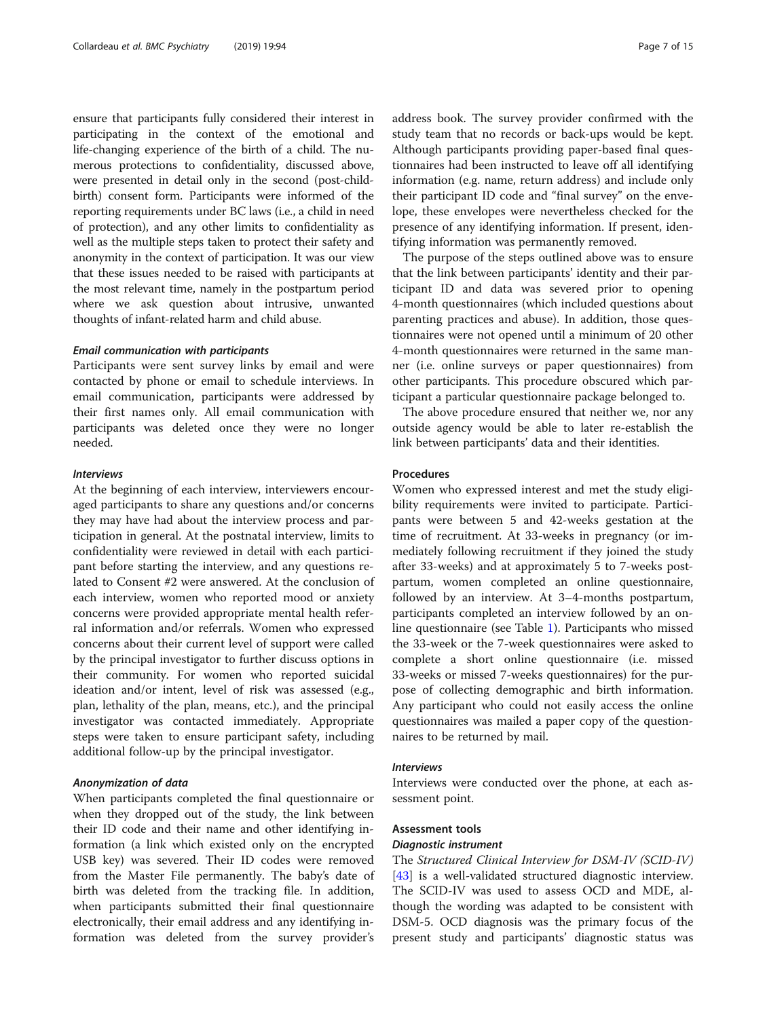ensure that participants fully considered their interest in participating in the context of the emotional and life-changing experience of the birth of a child. The numerous protections to confidentiality, discussed above, were presented in detail only in the second (post-childbirth) consent form. Participants were informed of the reporting requirements under BC laws (i.e., a child in need of protection), and any other limits to confidentiality as well as the multiple steps taken to protect their safety and anonymity in the context of participation. It was our view that these issues needed to be raised with participants at the most relevant time, namely in the postpartum period where we ask question about intrusive, unwanted thoughts of infant-related harm and child abuse.

#### Email communication with participants

Participants were sent survey links by email and were contacted by phone or email to schedule interviews. In email communication, participants were addressed by their first names only. All email communication with participants was deleted once they were no longer needed.

#### **Interviews**

At the beginning of each interview, interviewers encouraged participants to share any questions and/or concerns they may have had about the interview process and participation in general. At the postnatal interview, limits to confidentiality were reviewed in detail with each participant before starting the interview, and any questions related to Consent #2 were answered. At the conclusion of each interview, women who reported mood or anxiety concerns were provided appropriate mental health referral information and/or referrals. Women who expressed concerns about their current level of support were called by the principal investigator to further discuss options in their community. For women who reported suicidal ideation and/or intent, level of risk was assessed (e.g., plan, lethality of the plan, means, etc.), and the principal investigator was contacted immediately. Appropriate steps were taken to ensure participant safety, including additional follow-up by the principal investigator.

#### Anonymization of data

When participants completed the final questionnaire or when they dropped out of the study, the link between their ID code and their name and other identifying information (a link which existed only on the encrypted USB key) was severed. Their ID codes were removed from the Master File permanently. The baby's date of birth was deleted from the tracking file. In addition, when participants submitted their final questionnaire electronically, their email address and any identifying information was deleted from the survey provider's

address book. The survey provider confirmed with the study team that no records or back-ups would be kept. Although participants providing paper-based final questionnaires had been instructed to leave off all identifying information (e.g. name, return address) and include only their participant ID code and "final survey" on the envelope, these envelopes were nevertheless checked for the presence of any identifying information. If present, identifying information was permanently removed.

The purpose of the steps outlined above was to ensure that the link between participants' identity and their participant ID and data was severed prior to opening 4-month questionnaires (which included questions about parenting practices and abuse). In addition, those questionnaires were not opened until a minimum of 20 other 4-month questionnaires were returned in the same manner (i.e. online surveys or paper questionnaires) from other participants. This procedure obscured which participant a particular questionnaire package belonged to.

The above procedure ensured that neither we, nor any outside agency would be able to later re-establish the link between participants' data and their identities.

#### Procedures

Women who expressed interest and met the study eligibility requirements were invited to participate. Participants were between 5 and 42-weeks gestation at the time of recruitment. At 33-weeks in pregnancy (or immediately following recruitment if they joined the study after 33-weeks) and at approximately 5 to 7-weeks postpartum, women completed an online questionnaire, followed by an interview. At 3–4-months postpartum, participants completed an interview followed by an online questionnaire (see Table [1](#page-7-0)). Participants who missed the 33-week or the 7-week questionnaires were asked to complete a short online questionnaire (i.e. missed 33-weeks or missed 7-weeks questionnaires) for the purpose of collecting demographic and birth information. Any participant who could not easily access the online questionnaires was mailed a paper copy of the questionnaires to be returned by mail.

#### Interviews

Interviews were conducted over the phone, at each assessment point.

#### Assessment tools

#### Diagnostic instrument

The Structured Clinical Interview for DSM-IV (SCID-IV) [[43\]](#page-13-0) is a well-validated structured diagnostic interview. The SCID-IV was used to assess OCD and MDE, although the wording was adapted to be consistent with DSM-5. OCD diagnosis was the primary focus of the present study and participants' diagnostic status was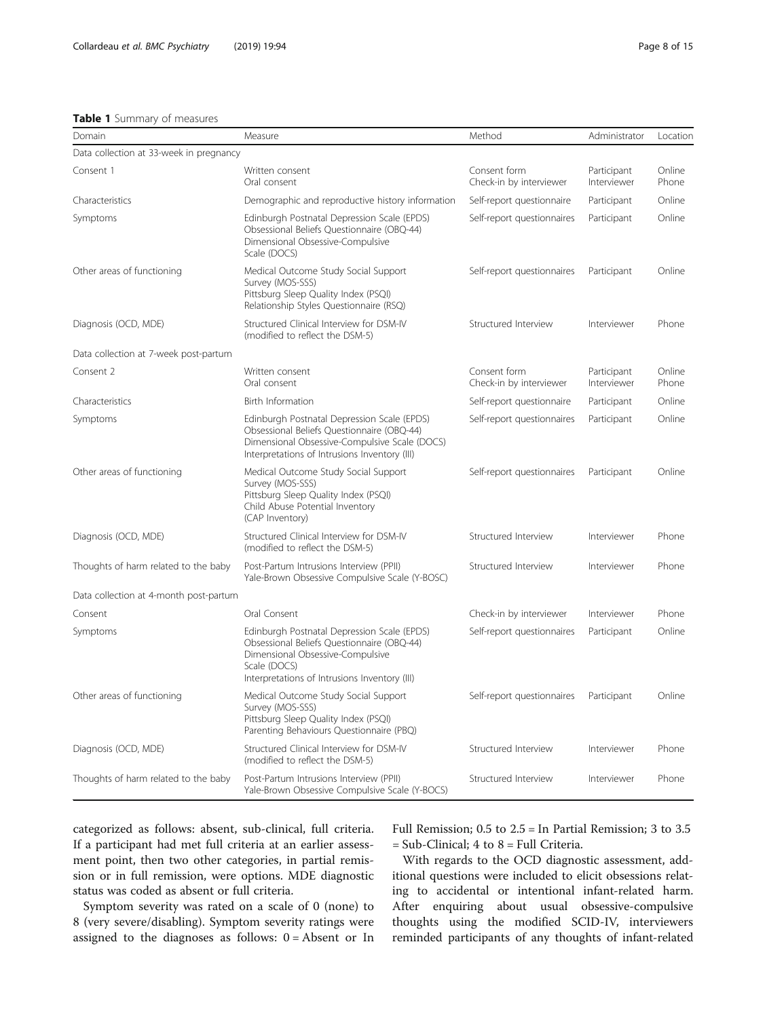#### <span id="page-7-0"></span>Table 1 Summary of measures

| Domain                                  | Measure                                                                                                                                                                                        | Method                                  | Administrator              | Location        |
|-----------------------------------------|------------------------------------------------------------------------------------------------------------------------------------------------------------------------------------------------|-----------------------------------------|----------------------------|-----------------|
| Data collection at 33-week in pregnancy |                                                                                                                                                                                                |                                         |                            |                 |
| Consent 1                               | Written consent<br>Oral consent                                                                                                                                                                | Consent form<br>Check-in by interviewer | Participant<br>Interviewer | Online<br>Phone |
| Characteristics                         | Demographic and reproductive history information                                                                                                                                               | Self-report questionnaire               | Participant                | Online          |
| Symptoms                                | Edinburgh Postnatal Depression Scale (EPDS)<br>Obsessional Beliefs Questionnaire (OBQ-44)<br>Dimensional Obsessive-Compulsive<br>Scale (DOCS)                                                  | Self-report questionnaires              | Participant                | Online          |
| Other areas of functioning              | Medical Outcome Study Social Support<br>Survey (MOS-SSS)<br>Pittsburg Sleep Quality Index (PSQI)<br>Relationship Styles Questionnaire (RSQ)                                                    | Self-report questionnaires              | Participant                | Online          |
| Diagnosis (OCD, MDE)                    | Structured Clinical Interview for DSM-IV<br>(modified to reflect the DSM-5)                                                                                                                    | Structured Interview                    | Interviewer                | Phone           |
| Data collection at 7-week post-partum   |                                                                                                                                                                                                |                                         |                            |                 |
| Consent 2                               | Written consent<br>Oral consent                                                                                                                                                                | Consent form<br>Check-in by interviewer | Participant<br>Interviewer | Online<br>Phone |
| Characteristics                         | <b>Birth Information</b>                                                                                                                                                                       | Self-report questionnaire               | Participant                | Online          |
| Symptoms                                | Edinburgh Postnatal Depression Scale (EPDS)<br>Obsessional Beliefs Questionnaire (OBQ-44)<br>Dimensional Obsessive-Compulsive Scale (DOCS)<br>Interpretations of Intrusions Inventory (III)    | Self-report questionnaires              | Participant                | Online          |
| Other areas of functioning              | Medical Outcome Study Social Support<br>Survey (MOS-SSS)<br>Pittsburg Sleep Quality Index (PSQI)<br>Child Abuse Potential Inventory<br>(CAP Inventory)                                         | Self-report questionnaires              | Participant                | Online          |
| Diagnosis (OCD, MDE)                    | Structured Clinical Interview for DSM-IV<br>(modified to reflect the DSM-5)                                                                                                                    | Structured Interview                    | Interviewer                | Phone           |
| Thoughts of harm related to the baby    | Post-Partum Intrusions Interview (PPII)<br>Yale-Brown Obsessive Compulsive Scale (Y-BOSC)                                                                                                      | Structured Interview                    | Interviewer                | Phone           |
| Data collection at 4-month post-partum  |                                                                                                                                                                                                |                                         |                            |                 |
| Consent                                 | Oral Consent                                                                                                                                                                                   | Check-in by interviewer                 | Interviewer                | Phone           |
| Symptoms                                | Edinburgh Postnatal Depression Scale (EPDS)<br>Obsessional Beliefs Questionnaire (OBQ-44)<br>Dimensional Obsessive-Compulsive<br>Scale (DOCS)<br>Interpretations of Intrusions Inventory (III) | Self-report questionnaires              | Participant                | Online          |
| Other areas of functioning              | Medical Outcome Study Social Support<br>Survey (MOS-SSS)<br>Pittsburg Sleep Quality Index (PSQI)<br>Parenting Behaviours Questionnaire (PBQ)                                                   | Self-report questionnaires              | Participant                | Online          |
| Diagnosis (OCD, MDE)                    | Structured Clinical Interview for DSM-IV<br>(modified to reflect the DSM-5)                                                                                                                    | Structured Interview                    | Interviewer                | Phone           |
| Thoughts of harm related to the baby    | Post-Partum Intrusions Interview (PPII)<br>Yale-Brown Obsessive Compulsive Scale (Y-BOCS)                                                                                                      | Structured Interview                    | Interviewer                | Phone           |

categorized as follows: absent, sub-clinical, full criteria. If a participant had met full criteria at an earlier assessment point, then two other categories, in partial remission or in full remission, were options. MDE diagnostic status was coded as absent or full criteria.

Symptom severity was rated on a scale of 0 (none) to 8 (very severe/disabling). Symptom severity ratings were assigned to the diagnoses as follows:  $0 =$  Absent or In Full Remission; 0.5 to 2.5 = In Partial Remission; 3 to 3.5  $=$  Sub-Clinical; 4 to  $8 =$  Full Criteria.

With regards to the OCD diagnostic assessment, additional questions were included to elicit obsessions relating to accidental or intentional infant-related harm. After enquiring about usual obsessive-compulsive thoughts using the modified SCID-IV, interviewers reminded participants of any thoughts of infant-related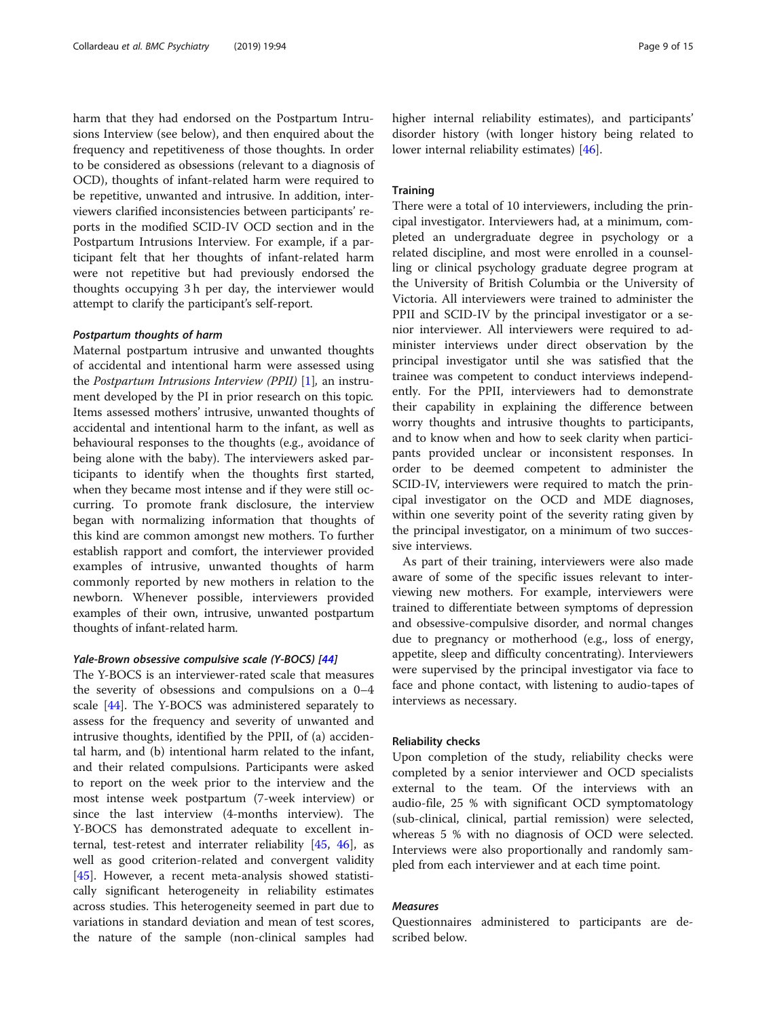harm that they had endorsed on the Postpartum Intrusions Interview (see below), and then enquired about the frequency and repetitiveness of those thoughts. In order to be considered as obsessions (relevant to a diagnosis of OCD), thoughts of infant-related harm were required to be repetitive, unwanted and intrusive. In addition, interviewers clarified inconsistencies between participants' reports in the modified SCID-IV OCD section and in the Postpartum Intrusions Interview. For example, if a participant felt that her thoughts of infant-related harm were not repetitive but had previously endorsed the thoughts occupying 3 h per day, the interviewer would attempt to clarify the participant's self-report.

#### Postpartum thoughts of harm

Maternal postpartum intrusive and unwanted thoughts of accidental and intentional harm were assessed using the Postpartum Intrusions Interview (PPII) [[1\]](#page-12-0), an instrument developed by the PI in prior research on this topic. Items assessed mothers' intrusive, unwanted thoughts of accidental and intentional harm to the infant, as well as behavioural responses to the thoughts (e.g., avoidance of being alone with the baby). The interviewers asked participants to identify when the thoughts first started, when they became most intense and if they were still occurring. To promote frank disclosure, the interview began with normalizing information that thoughts of this kind are common amongst new mothers. To further establish rapport and comfort, the interviewer provided examples of intrusive, unwanted thoughts of harm commonly reported by new mothers in relation to the newborn. Whenever possible, interviewers provided examples of their own, intrusive, unwanted postpartum thoughts of infant-related harm.

#### Yale-Brown obsessive compulsive scale (Y-BOCS) [\[44](#page-13-0)]

The Y-BOCS is an interviewer-rated scale that measures the severity of obsessions and compulsions on a 0–4 scale [[44](#page-13-0)]. The Y-BOCS was administered separately to assess for the frequency and severity of unwanted and intrusive thoughts, identified by the PPII, of (a) accidental harm, and (b) intentional harm related to the infant, and their related compulsions. Participants were asked to report on the week prior to the interview and the most intense week postpartum (7-week interview) or since the last interview (4-months interview). The Y-BOCS has demonstrated adequate to excellent internal, test-retest and interrater reliability [\[45](#page-13-0), [46\]](#page-13-0), as well as good criterion-related and convergent validity [[45\]](#page-13-0). However, a recent meta-analysis showed statistically significant heterogeneity in reliability estimates across studies. This heterogeneity seemed in part due to variations in standard deviation and mean of test scores, the nature of the sample (non-clinical samples had higher internal reliability estimates), and participants' disorder history (with longer history being related to lower internal reliability estimates) [[46\]](#page-13-0).

#### **Training**

There were a total of 10 interviewers, including the principal investigator. Interviewers had, at a minimum, completed an undergraduate degree in psychology or a related discipline, and most were enrolled in a counselling or clinical psychology graduate degree program at the University of British Columbia or the University of Victoria. All interviewers were trained to administer the PPII and SCID-IV by the principal investigator or a senior interviewer. All interviewers were required to administer interviews under direct observation by the principal investigator until she was satisfied that the trainee was competent to conduct interviews independently. For the PPII, interviewers had to demonstrate their capability in explaining the difference between worry thoughts and intrusive thoughts to participants, and to know when and how to seek clarity when participants provided unclear or inconsistent responses. In order to be deemed competent to administer the SCID-IV, interviewers were required to match the principal investigator on the OCD and MDE diagnoses, within one severity point of the severity rating given by the principal investigator, on a minimum of two successive interviews.

As part of their training, interviewers were also made aware of some of the specific issues relevant to interviewing new mothers. For example, interviewers were trained to differentiate between symptoms of depression and obsessive-compulsive disorder, and normal changes due to pregnancy or motherhood (e.g., loss of energy, appetite, sleep and difficulty concentrating). Interviewers were supervised by the principal investigator via face to face and phone contact, with listening to audio-tapes of interviews as necessary.

#### Reliability checks

Upon completion of the study, reliability checks were completed by a senior interviewer and OCD specialists external to the team. Of the interviews with an audio-file, 25 % with significant OCD symptomatology (sub-clinical, clinical, partial remission) were selected, whereas 5 % with no diagnosis of OCD were selected. Interviews were also proportionally and randomly sampled from each interviewer and at each time point.

#### Measures

Questionnaires administered to participants are described below.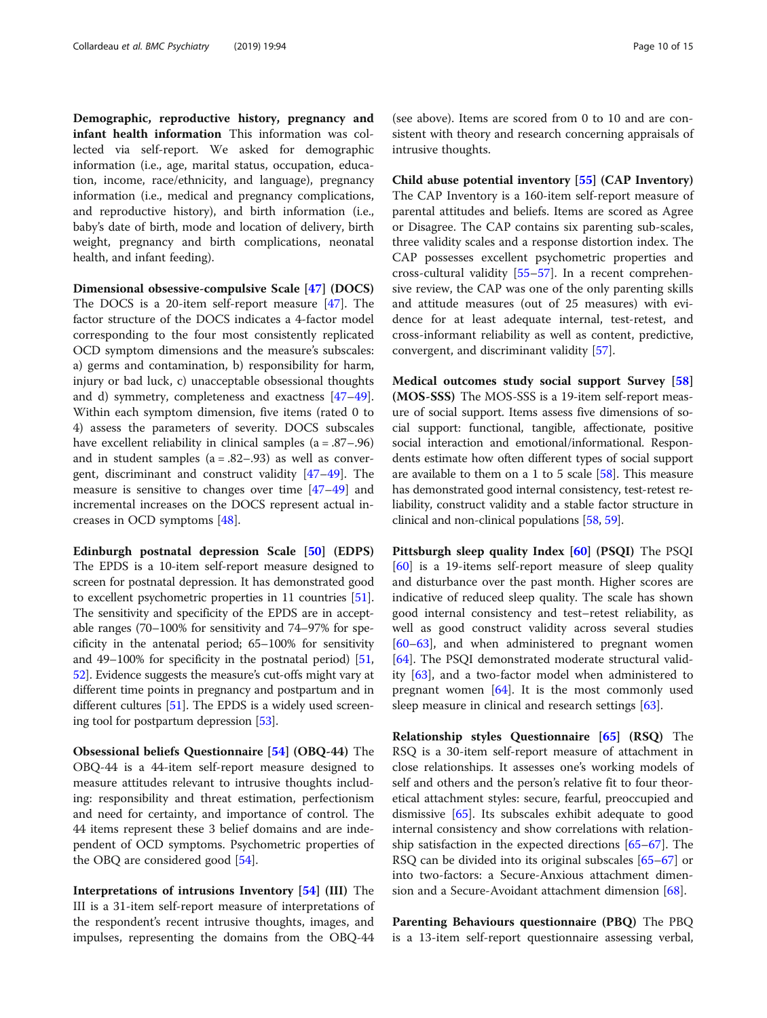Demographic, reproductive history, pregnancy and infant health information This information was collected via self-report. We asked for demographic information (i.e., age, marital status, occupation, education, income, race/ethnicity, and language), pregnancy information (i.e., medical and pregnancy complications, and reproductive history), and birth information (i.e., baby's date of birth, mode and location of delivery, birth weight, pregnancy and birth complications, neonatal health, and infant feeding).

Dimensional obsessive-compulsive Scale [[47](#page-13-0)] (DOCS) The DOCS is a 20-item self-report measure [[47](#page-13-0)]. The factor structure of the DOCS indicates a 4-factor model corresponding to the four most consistently replicated OCD symptom dimensions and the measure's subscales: a) germs and contamination, b) responsibility for harm, injury or bad luck, c) unacceptable obsessional thoughts and d) symmetry, completeness and exactness [[47](#page-13-0)–[49](#page-13-0)]. Within each symptom dimension, five items (rated 0 to 4) assess the parameters of severity. DOCS subscales have excellent reliability in clinical samples (a = .87–.96) and in student samples  $(a = .82 - .93)$  as well as convergent, discriminant and construct validity [[47](#page-13-0)–[49](#page-13-0)]. The measure is sensitive to changes over time [\[47](#page-13-0)–[49\]](#page-13-0) and incremental increases on the DOCS represent actual increases in OCD symptoms [[48\]](#page-13-0).

Edinburgh postnatal depression Scale [\[50\]](#page-13-0) (EDPS) The EPDS is a 10-item self-report measure designed to screen for postnatal depression. It has demonstrated good to excellent psychometric properties in 11 countries [[51](#page-13-0)]. The sensitivity and specificity of the EPDS are in acceptable ranges (70–100% for sensitivity and 74–97% for specificity in the antenatal period; 65–100% for sensitivity and 49–100% for specificity in the postnatal period) [[51](#page-13-0), [52](#page-13-0)]. Evidence suggests the measure's cut-offs might vary at different time points in pregnancy and postpartum and in different cultures [[51](#page-13-0)]. The EPDS is a widely used screening tool for postpartum depression [\[53](#page-13-0)].

Obsessional beliefs Questionnaire [[54](#page-13-0)] (OBQ-44) The OBQ-44 is a 44-item self-report measure designed to measure attitudes relevant to intrusive thoughts including: responsibility and threat estimation, perfectionism and need for certainty, and importance of control. The 44 items represent these 3 belief domains and are independent of OCD symptoms. Psychometric properties of the OBQ are considered good [\[54](#page-13-0)].

Interpretations of intrusions Inventory [[54](#page-13-0)] (III) The III is a 31-item self-report measure of interpretations of the respondent's recent intrusive thoughts, images, and impulses, representing the domains from the OBQ-44

(see above). Items are scored from 0 to 10 and are consistent with theory and research concerning appraisals of intrusive thoughts.

Child abuse potential inventory [[55](#page-13-0)] (CAP Inventory) The CAP Inventory is a 160-item self-report measure of parental attitudes and beliefs. Items are scored as Agree or Disagree. The CAP contains six parenting sub-scales, three validity scales and a response distortion index. The CAP possesses excellent psychometric properties and cross-cultural validity [[55](#page-13-0)–[57](#page-13-0)]. In a recent comprehensive review, the CAP was one of the only parenting skills and attitude measures (out of 25 measures) with evidence for at least adequate internal, test-retest, and cross-informant reliability as well as content, predictive, convergent, and discriminant validity [[57\]](#page-13-0).

Medical outcomes study social support Survey [[58](#page-13-0)] (MOS-SSS) The MOS-SSS is a 19-item self-report measure of social support. Items assess five dimensions of social support: functional, tangible, affectionate, positive social interaction and emotional/informational. Respondents estimate how often different types of social support are available to them on a 1 to 5 scale  $[58]$ . This measure has demonstrated good internal consistency, test-retest reliability, construct validity and a stable factor structure in clinical and non-clinical populations [\[58](#page-13-0), [59](#page-13-0)].

Pittsburgh sleep quality Index [[60](#page-13-0)] (PSQI) The PSQI [[60\]](#page-13-0) is a 19-items self-report measure of sleep quality and disturbance over the past month. Higher scores are indicative of reduced sleep quality. The scale has shown good internal consistency and test–retest reliability, as well as good construct validity across several studies [[60](#page-13-0)–[63](#page-13-0)], and when administered to pregnant women [[64\]](#page-13-0). The PSQI demonstrated moderate structural validity [\[63](#page-13-0)], and a two-factor model when administered to pregnant women [[64](#page-13-0)]. It is the most commonly used sleep measure in clinical and research settings [[63\]](#page-13-0).

Relationship styles Questionnaire [\[65\]](#page-14-0) (RSQ) The RSQ is a 30-item self-report measure of attachment in close relationships. It assesses one's working models of self and others and the person's relative fit to four theoretical attachment styles: secure, fearful, preoccupied and dismissive [[65\]](#page-14-0). Its subscales exhibit adequate to good internal consistency and show correlations with relationship satisfaction in the expected directions [\[65](#page-14-0)–[67\]](#page-14-0). The RSQ can be divided into its original subscales [\[65](#page-14-0)–[67\]](#page-14-0) or into two-factors: a Secure-Anxious attachment dimension and a Secure-Avoidant attachment dimension [\[68](#page-14-0)].

Parenting Behaviours questionnaire (PBQ) The PBQ is a 13-item self-report questionnaire assessing verbal,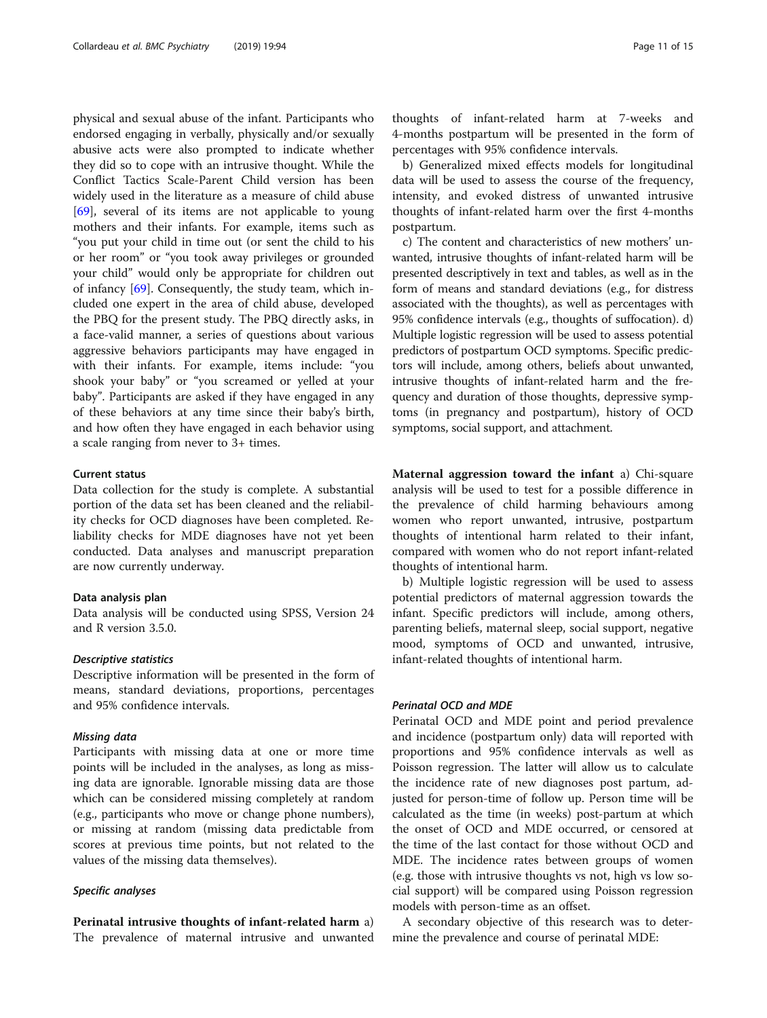physical and sexual abuse of the infant. Participants who endorsed engaging in verbally, physically and/or sexually abusive acts were also prompted to indicate whether they did so to cope with an intrusive thought. While the Conflict Tactics Scale-Parent Child version has been widely used in the literature as a measure of child abuse [[69\]](#page-14-0), several of its items are not applicable to young mothers and their infants. For example, items such as "you put your child in time out (or sent the child to his or her room" or "you took away privileges or grounded your child" would only be appropriate for children out of infancy [\[69\]](#page-14-0). Consequently, the study team, which included one expert in the area of child abuse, developed the PBQ for the present study. The PBQ directly asks, in a face-valid manner, a series of questions about various aggressive behaviors participants may have engaged in with their infants. For example, items include: "you shook your baby" or "you screamed or yelled at your baby". Participants are asked if they have engaged in any of these behaviors at any time since their baby's birth, and how often they have engaged in each behavior using a scale ranging from never to 3+ times.

#### Current status

Data collection for the study is complete. A substantial portion of the data set has been cleaned and the reliability checks for OCD diagnoses have been completed. Reliability checks for MDE diagnoses have not yet been conducted. Data analyses and manuscript preparation are now currently underway.

#### Data analysis plan

Data analysis will be conducted using SPSS, Version 24 and R version 3.5.0.

#### Descriptive statistics

Descriptive information will be presented in the form of means, standard deviations, proportions, percentages and 95% confidence intervals.

#### Missing data

Participants with missing data at one or more time points will be included in the analyses, as long as missing data are ignorable. Ignorable missing data are those which can be considered missing completely at random (e.g., participants who move or change phone numbers), or missing at random (missing data predictable from scores at previous time points, but not related to the values of the missing data themselves).

#### Specific analyses

Perinatal intrusive thoughts of infant-related harm a) The prevalence of maternal intrusive and unwanted

thoughts of infant-related harm at 7-weeks and 4-months postpartum will be presented in the form of percentages with 95% confidence intervals.

b) Generalized mixed effects models for longitudinal data will be used to assess the course of the frequency, intensity, and evoked distress of unwanted intrusive thoughts of infant-related harm over the first 4-months postpartum.

c) The content and characteristics of new mothers' unwanted, intrusive thoughts of infant-related harm will be presented descriptively in text and tables, as well as in the form of means and standard deviations (e.g., for distress associated with the thoughts), as well as percentages with 95% confidence intervals (e.g., thoughts of suffocation). d) Multiple logistic regression will be used to assess potential predictors of postpartum OCD symptoms. Specific predictors will include, among others, beliefs about unwanted, intrusive thoughts of infant-related harm and the frequency and duration of those thoughts, depressive symptoms (in pregnancy and postpartum), history of OCD symptoms, social support, and attachment.

Maternal aggression toward the infant a) Chi-square analysis will be used to test for a possible difference in the prevalence of child harming behaviours among women who report unwanted, intrusive, postpartum thoughts of intentional harm related to their infant, compared with women who do not report infant-related thoughts of intentional harm.

b) Multiple logistic regression will be used to assess potential predictors of maternal aggression towards the infant. Specific predictors will include, among others, parenting beliefs, maternal sleep, social support, negative mood, symptoms of OCD and unwanted, intrusive, infant-related thoughts of intentional harm.

#### Perinatal OCD and MDE

Perinatal OCD and MDE point and period prevalence and incidence (postpartum only) data will reported with proportions and 95% confidence intervals as well as Poisson regression. The latter will allow us to calculate the incidence rate of new diagnoses post partum, adjusted for person-time of follow up. Person time will be calculated as the time (in weeks) post-partum at which the onset of OCD and MDE occurred, or censored at the time of the last contact for those without OCD and MDE. The incidence rates between groups of women (e.g. those with intrusive thoughts vs not, high vs low social support) will be compared using Poisson regression models with person-time as an offset.

A secondary objective of this research was to determine the prevalence and course of perinatal MDE: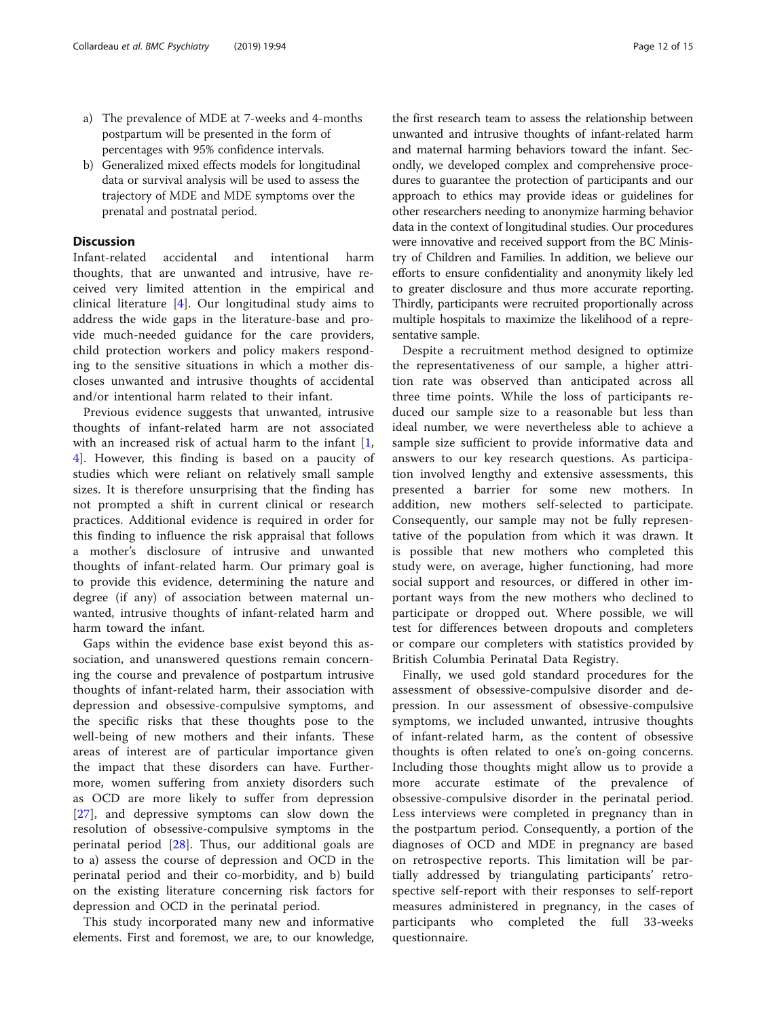- a) The prevalence of MDE at 7-weeks and 4-months postpartum will be presented in the form of percentages with 95% confidence intervals.
- b) Generalized mixed effects models for longitudinal data or survival analysis will be used to assess the trajectory of MDE and MDE symptoms over the prenatal and postnatal period.

#### Discussion

Infant-related accidental and intentional harm thoughts, that are unwanted and intrusive, have received very limited attention in the empirical and clinical literature [[4\]](#page-12-0). Our longitudinal study aims to address the wide gaps in the literature-base and provide much-needed guidance for the care providers, child protection workers and policy makers responding to the sensitive situations in which a mother discloses unwanted and intrusive thoughts of accidental and/or intentional harm related to their infant.

Previous evidence suggests that unwanted, intrusive thoughts of infant-related harm are not associated with an increased risk of actual harm to the infant  $[1, 1]$  $[1, 1]$ [4\]](#page-12-0). However, this finding is based on a paucity of studies which were reliant on relatively small sample sizes. It is therefore unsurprising that the finding has not prompted a shift in current clinical or research practices. Additional evidence is required in order for this finding to influence the risk appraisal that follows a mother's disclosure of intrusive and unwanted thoughts of infant-related harm. Our primary goal is to provide this evidence, determining the nature and degree (if any) of association between maternal unwanted, intrusive thoughts of infant-related harm and harm toward the infant.

Gaps within the evidence base exist beyond this association, and unanswered questions remain concerning the course and prevalence of postpartum intrusive thoughts of infant-related harm, their association with depression and obsessive-compulsive symptoms, and the specific risks that these thoughts pose to the well-being of new mothers and their infants. These areas of interest are of particular importance given the impact that these disorders can have. Furthermore, women suffering from anxiety disorders such as OCD are more likely to suffer from depression [[27\]](#page-13-0), and depressive symptoms can slow down the resolution of obsessive-compulsive symptoms in the perinatal period [\[28](#page-13-0)]. Thus, our additional goals are to a) assess the course of depression and OCD in the perinatal period and their co-morbidity, and b) build on the existing literature concerning risk factors for depression and OCD in the perinatal period.

This study incorporated many new and informative elements. First and foremost, we are, to our knowledge,

the first research team to assess the relationship between unwanted and intrusive thoughts of infant-related harm and maternal harming behaviors toward the infant. Secondly, we developed complex and comprehensive procedures to guarantee the protection of participants and our approach to ethics may provide ideas or guidelines for other researchers needing to anonymize harming behavior data in the context of longitudinal studies. Our procedures were innovative and received support from the BC Ministry of Children and Families. In addition, we believe our efforts to ensure confidentiality and anonymity likely led to greater disclosure and thus more accurate reporting. Thirdly, participants were recruited proportionally across multiple hospitals to maximize the likelihood of a representative sample.

Despite a recruitment method designed to optimize the representativeness of our sample, a higher attrition rate was observed than anticipated across all three time points. While the loss of participants reduced our sample size to a reasonable but less than ideal number, we were nevertheless able to achieve a sample size sufficient to provide informative data and answers to our key research questions. As participation involved lengthy and extensive assessments, this presented a barrier for some new mothers. In addition, new mothers self-selected to participate. Consequently, our sample may not be fully representative of the population from which it was drawn. It is possible that new mothers who completed this study were, on average, higher functioning, had more social support and resources, or differed in other important ways from the new mothers who declined to participate or dropped out. Where possible, we will test for differences between dropouts and completers or compare our completers with statistics provided by British Columbia Perinatal Data Registry.

Finally, we used gold standard procedures for the assessment of obsessive-compulsive disorder and depression. In our assessment of obsessive-compulsive symptoms, we included unwanted, intrusive thoughts of infant-related harm, as the content of obsessive thoughts is often related to one's on-going concerns. Including those thoughts might allow us to provide a more accurate estimate of the prevalence of obsessive-compulsive disorder in the perinatal period. Less interviews were completed in pregnancy than in the postpartum period. Consequently, a portion of the diagnoses of OCD and MDE in pregnancy are based on retrospective reports. This limitation will be partially addressed by triangulating participants' retrospective self-report with their responses to self-report measures administered in pregnancy, in the cases of participants who completed the full 33-weeks questionnaire.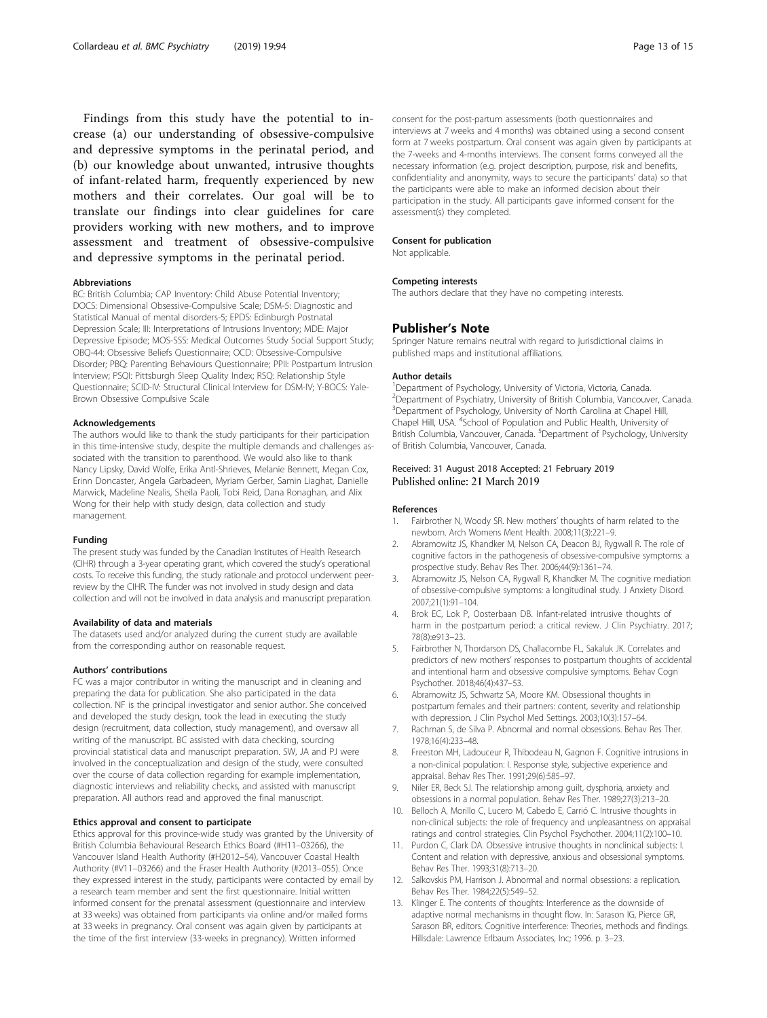<span id="page-12-0"></span>Findings from this study have the potential to increase (a) our understanding of obsessive-compulsive and depressive symptoms in the perinatal period, and (b) our knowledge about unwanted, intrusive thoughts of infant-related harm, frequently experienced by new mothers and their correlates. Our goal will be to translate our findings into clear guidelines for care providers working with new mothers, and to improve assessment and treatment of obsessive-compulsive and depressive symptoms in the perinatal period.

#### Abbreviations

BC: British Columbia; CAP Inventory: Child Abuse Potential Inventory; DOCS: Dimensional Obsessive-Compulsive Scale; DSM-5: Diagnostic and Statistical Manual of mental disorders-5; EPDS: Edinburgh Postnatal Depression Scale; III: Interpretations of Intrusions Inventory; MDE: Major Depressive Episode; MOS-SSS: Medical Outcomes Study Social Support Study; OBQ-44: Obsessive Beliefs Questionnaire; OCD: Obsessive-Compulsive Disorder; PBQ: Parenting Behaviours Questionnaire; PPII: Postpartum Intrusion Interview; PSQI: Pittsburgh Sleep Quality Index; RSQ: Relationship Style Questionnaire; SCID-IV: Structural Clinical Interview for DSM-IV; Y-BOCS: Yale-Brown Obsessive Compulsive Scale

#### Acknowledgements

The authors would like to thank the study participants for their participation in this time-intensive study, despite the multiple demands and challenges associated with the transition to parenthood. We would also like to thank Nancy Lipsky, David Wolfe, Erika Antl-Shrieves, Melanie Bennett, Megan Cox, Erinn Doncaster, Angela Garbadeen, Myriam Gerber, Samin Liaghat, Danielle Marwick, Madeline Nealis, Sheila Paoli, Tobi Reid, Dana Ronaghan, and Alix Wong for their help with study design, data collection and study management.

#### Funding

The present study was funded by the Canadian Institutes of Health Research (CIHR) through a 3-year operating grant, which covered the study's operational costs. To receive this funding, the study rationale and protocol underwent peerreview by the CIHR. The funder was not involved in study design and data collection and will not be involved in data analysis and manuscript preparation.

#### Availability of data and materials

The datasets used and/or analyzed during the current study are available from the corresponding author on reasonable request.

#### Authors' contributions

FC was a major contributor in writing the manuscript and in cleaning and preparing the data for publication. She also participated in the data collection. NF is the principal investigator and senior author. She conceived and developed the study design, took the lead in executing the study design (recruitment, data collection, study management), and oversaw all writing of the manuscript. BC assisted with data checking, sourcing provincial statistical data and manuscript preparation. SW, JA and PJ were involved in the conceptualization and design of the study, were consulted over the course of data collection regarding for example implementation, diagnostic interviews and reliability checks, and assisted with manuscript preparation. All authors read and approved the final manuscript.

#### Ethics approval and consent to participate

Ethics approval for this province-wide study was granted by the University of British Columbia Behavioural Research Ethics Board (#H11–03266), the Vancouver Island Health Authority (#H2012–54), Vancouver Coastal Health Authority (#V11–03266) and the Fraser Health Authority (#2013–055). Once they expressed interest in the study, participants were contacted by email by a research team member and sent the first questionnaire. Initial written informed consent for the prenatal assessment (questionnaire and interview at 33 weeks) was obtained from participants via online and/or mailed forms at 33 weeks in pregnancy. Oral consent was again given by participants at the time of the first interview (33-weeks in pregnancy). Written informed

consent for the post-partum assessments (both questionnaires and interviews at 7 weeks and 4 months) was obtained using a second consent form at 7 weeks postpartum. Oral consent was again given by participants at the 7-weeks and 4-months interviews. The consent forms conveyed all the necessary information (e.g. project description, purpose, risk and benefits, confidentiality and anonymity, ways to secure the participants' data) so that the participants were able to make an informed decision about their participation in the study. All participants gave informed consent for the assessment(s) they completed.

#### Consent for publication

Not applicable.

#### Competing interests

The authors declare that they have no competing interests.

#### Publisher's Note

Springer Nature remains neutral with regard to jurisdictional claims in published maps and institutional affiliations.

#### Author details

<sup>1</sup> Department of Psychology, University of Victoria, Victoria, Canada. <sup>2</sup> Department of Psychiatry, University of British Columbia, Vancouver, Canada <sup>3</sup>Department of Psychology, University of North Carolina at Chapel Hill, Chapel Hill, USA. <sup>4</sup>School of Population and Public Health, University of British Columbia, Vancouver, Canada. <sup>5</sup>Department of Psychology, University of British Columbia, Vancouver, Canada.

#### Received: 31 August 2018 Accepted: 21 February 2019 Published online: 21 March 2019

#### References

- 1. Fairbrother N, Woody SR. New mothers' thoughts of harm related to the newborn. Arch Womens Ment Health. 2008;11(3):221–9.
- 2. Abramowitz JS, Khandker M, Nelson CA, Deacon BJ, Rygwall R. The role of cognitive factors in the pathogenesis of obsessive-compulsive symptoms: a prospective study. Behav Res Ther. 2006;44(9):1361–74.
- 3. Abramowitz JS, Nelson CA, Rygwall R, Khandker M. The cognitive mediation of obsessive-compulsive symptoms: a longitudinal study. J Anxiety Disord. 2007;21(1):91–104.
- 4. Brok EC, Lok P, Oosterbaan DB. Infant-related intrusive thoughts of harm in the postpartum period: a critical review. J Clin Psychiatry. 2017; 78(8):e913–23.
- 5. Fairbrother N, Thordarson DS, Challacombe FL, Sakaluk JK. Correlates and predictors of new mothers' responses to postpartum thoughts of accidental and intentional harm and obsessive compulsive symptoms. Behav Cogn Psychother. 2018;46(4):437–53.
- 6. Abramowitz JS, Schwartz SA, Moore KM. Obsessional thoughts in postpartum females and their partners: content, severity and relationship with depression. J Clin Psychol Med Settings. 2003;10(3):157–64.
- 7. Rachman S, de Silva P. Abnormal and normal obsessions. Behav Res Ther. 1978;16(4):233–48.
- 8. Freeston MH, Ladouceur R, Thibodeau N, Gagnon F. Cognitive intrusions in a non-clinical population: I. Response style, subjective experience and appraisal. Behav Res Ther. 1991;29(6):585–97.
- Niler ER, Beck SJ. The relationship among guilt, dysphoria, anxiety and obsessions in a normal population. Behav Res Ther. 1989;27(3):213–20.
- 10. Belloch A, Morillo C, Lucero M, Cabedo E, Carrió C. Intrusive thoughts in non-clinical subjects: the role of frequency and unpleasantness on appraisal ratings and control strategies. Clin Psychol Psychother. 2004;11(2):100–10.
- 11. Purdon C, Clark DA. Obsessive intrusive thoughts in nonclinical subjects: I. Content and relation with depressive, anxious and obsessional symptoms. Behav Res Ther. 1993;31(8):713–20.
- 12. Salkovskis PM, Harrison J. Abnormal and normal obsessions: a replication. Behav Res Ther. 1984;22(5):549–52.
- 13. Klinger E. The contents of thoughts: Interference as the downside of adaptive normal mechanisms in thought flow. In: Sarason IG, Pierce GR, Sarason BR, editors. Cognitive interference: Theories, methods and findings. Hillsdale: Lawrence Erlbaum Associates, Inc; 1996. p. 3–23.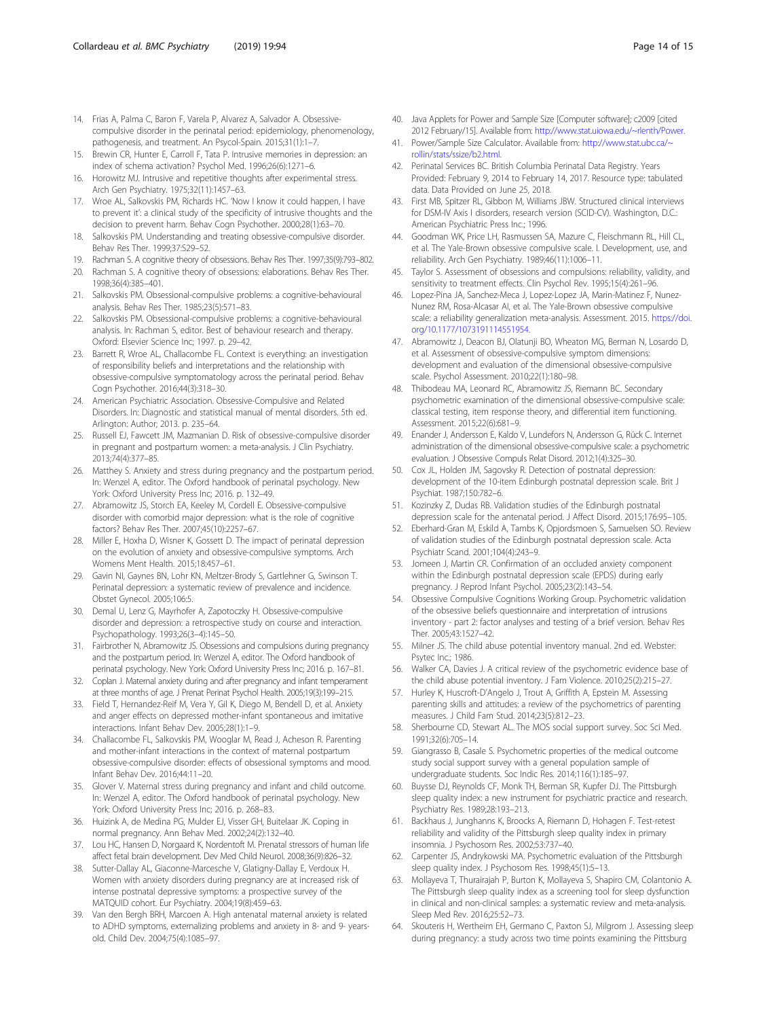- <span id="page-13-0"></span>14. Frias A, Palma C, Baron F, Varela P, Alvarez A, Salvador A. Obsessivecompulsive disorder in the perinatal period: epidemiology, phenomenology, pathogenesis, and treatment. An Psycol-Spain. 2015;31(1):1–7.
- 15. Brewin CR, Hunter E, Carroll F, Tata P. Intrusive memories in depression: an index of schema activation? Psychol Med. 1996;26(6):1271–6.
- 16. Horowitz MJ. Intrusive and repetitive thoughts after experimental stress. Arch Gen Psychiatry. 1975;32(11):1457–63.
- 17. Wroe AL, Salkovskis PM, Richards HC. 'Now I know it could happen, I have to prevent it': a clinical study of the specificity of intrusive thoughts and the decision to prevent harm. Behav Cogn Psychother. 2000;28(1):63–70.
- Salkovskis PM. Understanding and treating obsessive-compulsive disorder. Behav Res Ther. 1999;37:S29–52.
- 19. Rachman S. A cognitive theory of obsessions. Behav Res Ther. 1997;35(9):793–802.
- 20. Rachman S. A cognitive theory of obsessions: elaborations. Behav Res Ther. 1998;36(4):385–401.
- 21. Salkovskis PM. Obsessional-compulsive problems: a cognitive-behavioural analysis. Behav Res Ther. 1985;23(5):571–83.
- 22. Salkovskis PM. Obsessional-compulsive problems: a cognitive-behavioural analysis. In: Rachman S, editor. Best of behaviour research and therapy. Oxford: Elsevier Science Inc; 1997. p. 29–42.
- 23. Barrett R, Wroe AL, Challacombe FL. Context is everything: an investigation of responsibility beliefs and interpretations and the relationship with obsessive-compulsive symptomatology across the perinatal period. Behav Cogn Psychother. 2016;44(3):318–30.
- 24. American Psychiatric Association. Obsessive-Compulsive and Related Disorders. In: Diagnostic and statistical manual of mental disorders. 5th ed. Arlington: Author; 2013. p. 235–64.
- 25. Russell EJ, Fawcett JM, Mazmanian D. Risk of obsessive-compulsive disorder in pregnant and postpartum women: a meta-analysis. J Clin Psychiatry. 2013;74(4):377–85.
- 26. Matthey S. Anxiety and stress during pregnancy and the postpartum period. In: Wenzel A, editor. The Oxford handbook of perinatal psychology. New York: Oxford University Press Inc; 2016. p. 132–49.
- 27. Abramowitz JS, Storch EA, Keeley M, Cordell E. Obsessive-compulsive disorder with comorbid major depression: what is the role of cognitive factors? Behav Res Ther. 2007;45(10):2257–67.
- 28. Miller E, Hoxha D, Wisner K, Gossett D. The impact of perinatal depression on the evolution of anxiety and obsessive-compulsive symptoms. Arch Womens Ment Health. 2015;18:457–61.
- 29. Gavin NI, Gaynes BN, Lohr KN, Meltzer-Brody S, Gartlehner G, Swinson T. Perinatal depression: a systematic review of prevalence and incidence. Obstet Gynecol. 2005;106:5.
- 30. Demal U, Lenz G, Mayrhofer A, Zapotoczky H. Obsessive-compulsive disorder and depression: a retrospective study on course and interaction. Psychopathology. 1993;26(3–4):145–50.
- 31. Fairbrother N, Abramowitz JS. Obsessions and compulsions during pregnancy and the postpartum period. In: Wenzel A, editor. The Oxford handbook of perinatal psychology. New York: Oxford University Press Inc; 2016. p. 167–81.
- 32. Coplan J. Maternal anxiety during and after pregnancy and infant temperament at three months of age. J Prenat Perinat Psychol Health. 2005;19(3):199–215.
- 33. Field T, Hernandez-Reif M, Vera Y, Gil K, Diego M, Bendell D, et al. Anxiety and anger effects on depressed mother-infant spontaneous and imitative interactions. Infant Behav Dev. 2005;28(1):1–9.
- 34. Challacombe FL, Salkovskis PM, Wooglar M, Read J, Acheson R. Parenting and mother-infant interactions in the context of maternal postpartum obsessive-compulsive disorder: effects of obsessional symptoms and mood. Infant Behav Dev. 2016;44:11–20.
- 35. Glover V. Maternal stress during pregnancy and infant and child outcome. In: Wenzel A, editor. The Oxford handbook of perinatal psychology. New York: Oxford University Press Inc; 2016. p. 268–83.
- 36. Huizink A, de Medina PG, Mulder EJ, Visser GH, Buitelaar JK. Coping in normal pregnancy. Ann Behav Med. 2002;24(2):132–40.
- 37. Lou HC, Hansen D, Norgaard K, Nordentoft M. Prenatal stressors of human life affect fetal brain development. Dev Med Child Neurol. 2008;36(9):826–32.
- 38. Sutter-Dallay AL, Giaconne-Marcesche V, Glatigny-Dallay E, Verdoux H. Women with anxiety disorders during pregnancy are at increased risk of intense postnatal depressive symptoms: a prospective survey of the MATQUID cohort. Eur Psychiatry. 2004;19(8):459–63.
- 39. Van den Bergh BRH, Marcoen A. High antenatal maternal anxiety is related to ADHD symptoms, externalizing problems and anxiety in 8- and 9- yearsold. Child Dev. 2004;75(4):1085–97.
- 40. Java Applets for Power and Sample Size [Computer software]; c2009 [cited 2012 February/15]. Available from: [http://www.stat.uiowa.edu/~rlenth/Power.](http://www.stat.uiowa.edu/~rlenth/Power)
- 41. Power/Sample Size Calculator. Available from: [http://www.stat.ubc.ca/~](http://www.stat.ubc.ca/~rollin/stats/ssize/b2.html) [rollin/stats/ssize/b2.html](http://www.stat.ubc.ca/~rollin/stats/ssize/b2.html).
- 42. Perinatal Services BC. British Columbia Perinatal Data Registry. Years Provided: February 9, 2014 to February 14, 2017. Resource type: tabulated data. Data Provided on June 25, 2018.
- 43. First MB, Spitzer RL, Gibbon M, Williams JBW. Structured clinical interviews for DSM-IV Axis I disorders, research version (SCID-CV). Washington, D.C.: American Psychiatric Press Inc.; 1996.
- 44. Goodman WK, Price LH, Rasmussen SA, Mazure C, Fleischmann RL, Hill CL, et al. The Yale-Brown obsessive compulsive scale. I. Development, use, and reliability. Arch Gen Psychiatry. 1989;46(11):1006–11.
- 45. Taylor S. Assessment of obsessions and compulsions: reliability, validity, and sensitivity to treatment effects. Clin Psychol Rev. 1995;15(4):261–96.
- Lopez-Pina JA, Sanchez-Meca J, Lopez-Lopez JA, Marin-Matinez F, Nunez-Nunez RM, Rosa-Alcasar AI, et al. The Yale-Brown obsessive compulsive scale: a reliability generalization meta-analysis. Assessment. 2015. [https://doi.](https://doi.org/10.1177/1073191114551954) [org/10.1177/1073191114551954.](https://doi.org/10.1177/1073191114551954)
- 47. Abramowitz J, Deacon BJ, Olatunji BO, Wheaton MG, Berman N, Losardo D, et al. Assessment of obsessive-compulsive symptom dimensions: development and evaluation of the dimensional obsessive-compulsive scale. Psychol Assessment. 2010;22(1):180–98.
- 48. Thibodeau MA, Leonard RC, Abramowitz JS, Riemann BC. Secondary psychometric examination of the dimensional obsessive-compulsive scale: classical testing, item response theory, and differential item functioning. Assessment. 2015;22(6):681–9.
- 49. Enander J, Andersson E, Kaldo V, Lundefors N, Andersson G, Rück C. Internet administration of the dimensional obsessive-compulsive scale: a psychometric evaluation. J Obsessive Compuls Relat Disord. 2012;1(4):325–30.
- 50. Cox JL, Holden JM, Sagovsky R. Detection of postnatal depression: development of the 10-item Edinburgh postnatal depression scale. Brit J Psychiat. 1987;150:782–6.
- 51. Kozinzky Z, Dudas RB. Validation studies of the Edinburgh postnatal depression scale for the antenatal period. J Affect Disord. 2015;176:95–105.
- 52. Eberhard-Gran M, Eskild A, Tambs K, Opjordsmoen S, Samuelsen SO. Review of validation studies of the Edinburgh postnatal depression scale. Acta Psychiatr Scand. 2001;104(4):243–9.
- 53. Jomeen J, Martin CR. Confirmation of an occluded anxiety component within the Edinburgh postnatal depression scale (EPDS) during early pregnancy. J Reprod Infant Psychol. 2005;23(2):143–54.
- 54. Obsessive Compulsive Cognitions Working Group. Psychometric validation of the obsessive beliefs questionnaire and interpretation of intrusions inventory - part 2: factor analyses and testing of a brief version. Behav Res Ther. 2005;43:1527–42.
- 55. Milner JS. The child abuse potential inventory manual. 2nd ed. Webster: Psytec Inc.; 1986.
- 56. Walker CA, Davies J. A critical review of the psychometric evidence base of the child abuse potential inventory. J Fam Violence. 2010;25(2):215–27.
- 57. Hurley K, Huscroft-D'Angelo J, Trout A, Griffith A, Epstein M. Assessing parenting skills and attitudes: a review of the psychometrics of parenting measures. J Child Fam Stud. 2014;23(5):812–23.
- 58. Sherbourne CD, Stewart AL. The MOS social support survey. Soc Sci Med. 1991;32(6):705–14.
- 59. Giangrasso B, Casale S. Psychometric properties of the medical outcome study social support survey with a general population sample of undergraduate students. Soc Indic Res. 2014;116(1):185–97.
- 60. Buysse DJ, Reynolds CF, Monk TH, Berman SR, Kupfer DJ. The Pittsburgh sleep quality index: a new instrument for psychiatric practice and research. Psychiatry Res. 1989;28:193–213.
- 61. Backhaus J, Junghanns K, Broocks A, Riemann D, Hohagen F. Test-retest reliability and validity of the Pittsburgh sleep quality index in primary insomnia. J Psychosom Res. 2002;53:737–40.
- 62. Carpenter JS, Andrykowski MA. Psychometric evaluation of the Pittsburgh sleep quality index. J Psychosom Res. 1998;45(1):5–13.
- 63. Mollayeva T, Thurairajah P, Burton K, Mollayeva S, Shapiro CM, Colantonio A. The Pittsburgh sleep quality index as a screening tool for sleep dysfunction in clinical and non-clinical samples: a systematic review and meta-analysis. Sleep Med Rev. 2016;25:52–73.
- 64. Skouteris H, Wertheim EH, Germano C, Paxton SJ, Milgrom J. Assessing sleep during pregnancy: a study across two time points examining the Pittsburg